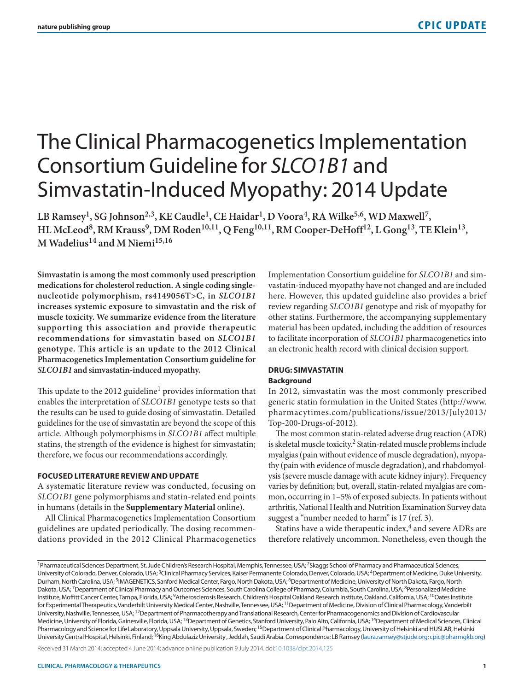# The Clinical Pharmacogenetics Implementation Consortium Guideline for *SLCO1B1* and Simvastatin-Induced Myopathy: 2014 Update

LB Ramsey<sup>1</sup>, SG Johnson<sup>2,3</sup>, KE Caudle<sup>1</sup>, CE Haidar<sup>1</sup>, D Voora<sup>4</sup>, RA Wilke<sup>5,6</sup>, WD Maxwell<sup>7</sup>, HL McLeod<sup>8</sup>, RM Krauss<sup>9</sup>, DM Roden<sup>10,11</sup>, Q Feng<sup>10,11</sup>, RM Cooper-DeHoff<sup>12</sup>, L Gong<sup>13</sup>, TE Klein<sup>13</sup>, **M Wadelius14 and M Niemi15,16**

**Simvastatin is among the most commonly used prescription medications for cholesterol reduction. A single coding singlenucleotide polymorphism, rs4149056T>C, in** *SLCO1B1* **increases systemic exposure to simvastatin and the risk of muscle toxicity. We summarize evidence from the literature supporting this association and provide therapeutic recommendations for simvastatin based on** *SLCO1B1* **genotype. This article is an update to the 2012 Clinical Pharmacogenetics Implementation Consortium guideline for**  *SLCO1B1* **and simvastatin-induced myopathy.**

This update to the 2012 guideline<sup>1</sup> provides information that enables the interpretation of *SLCO1B1* genotype tests so that the results can be used to guide dosing of simvastatin. Detailed guidelines for the use of simvastatin are beyond the scope of this article. Although polymorphisms in *SLCO1B1* affect multiple statins, the strength of the evidence is highest for simvastatin; therefore, we focus our recommendations accordingly.

# **FOCUSED LITERATURE REVIEW AND UPDATE**

A systematic literature review was conducted, focusing on *SLCO1B1* gene polymorphisms and statin-related end points in humans (details in the **Supplementary Material** online).

All Clinical Pharmacogenetics Implementation Consortium guidelines are updated periodically. The dosing recommendations provided in the 2012 Clinical Pharmacogenetics Implementation Consortium guideline for *SLCO1B1* and simvastatin-induced myopathy have not changed and are included here. However, this updated guideline also provides a brief review regarding *SLCO1B1* genotype and risk of myopathy for other statins. Furthermore, the accompanying supplementary material has been updated, including the addition of resources to facilitate incorporation of *SLCO1B1* pharmacogenetics into an electronic health record with clinical decision support.

## **DRUG: SIMVASTATIN Background**

In 2012, simvastatin was the most commonly prescribed generic statin formulation in the United States [\(http://www.](http://www.pharmacytimes.com/publications/issue/2013/July2013/Top-200-Drugs-of-2012) [pharmacytimes.com/publications/issue/2013/July2013/](http://www.pharmacytimes.com/publications/issue/2013/July2013/Top-200-Drugs-of-2012) [Top-200-Drugs-of-2012](http://www.pharmacytimes.com/publications/issue/2013/July2013/Top-200-Drugs-of-2012)).

The most common statin-related adverse drug reaction (ADR) is skeletal muscle toxicity.<sup>2</sup> Statin-related muscle problems include myalgias (pain without evidence of muscle degradation), myopathy (pain with evidence of muscle degradation), and rhabdomyolysis (severe muscle damage with acute kidney injury). Frequency varies by definition; but, overall, statin-related myalgias are common, occurring in 1–5% of exposed subjects. In patients without arthritis, National Health and Nutrition Examination Survey data suggest a "number needed to harm" is 17 (ref. 3).

Statins have a wide therapeutic index, $4$  and severe ADRs are therefore relatively uncommon. Nonetheless, even though the

Received 31 March 2014; accepted 4 June 2014; advance online publication 9 July 2014. doi:[10.1038/clpt.2014.125](http://www.nature.com/doifinder/10.1038/clpt.2014.125)

<sup>&</sup>lt;sup>1</sup>Pharmaceutical Sciences Department, St. Jude Children's Research Hospital, Memphis, Tennessee, USA; <sup>2</sup>Skaggs School of Pharmacy and Pharmaceutical Sciences, University of Colorado, Denver, Colorado, USA;<sup>3</sup>Clinical Pharmacy Services, Kaiser Permanente Colorado, Denver, Colorado, USA; <sup>4</sup>Department of Medicine, Duke University, Durham, North Carolina, USA;<sup>5</sup>IMAGENETICS, Sanford Medical Center, Fargo, North Dakota, USA;<sup>6</sup>Department of Medicine, University of North Dakota, Fargo, North Dakota, USA; <sup>7</sup>Department of Clinical Pharmacy and Outcomes Sciences, South Carolina College of Pharmacy, Columbia, South Carolina, USA; <sup>8</sup>Personalized Medicine Institute, Moffitt Cancer Center, Tampa, Florida, USA; <sup>9</sup>Atherosclerosis Research, Children's Hospital Oakland Research Institute, Oakland, California, USA; <sup>10</sup>Oates Institute for Experimental Therapeutics, Vanderbilt University Medical Center, Nashville, Tennessee, USA; <sup>11</sup>Department of Medicine, Division of Clinical Pharmacology, Vanderbilt University, Nashville, Tennessee, USA;<sup>12</sup>Department of Pharmacotherapy and Translational Research, Center for Pharmacogenomics and Division of Cardiovascular Medicine, University of Florida, Gainesville, Florida, USA; <sup>13</sup>Department of Genetics, Stanford University, Palo Alto, California, USA; <sup>14</sup>Department of Medical Sciences, Clinical Pharmacology and Science for Life Laboratory, Uppsala University, Uppsala, Sweden; <sup>15</sup>Department of Clinical Pharmacology, University of Helsinki and HUSLAB, Helsinki University Central Hospital, Helsinki, Finland; <sup>16</sup>King Abdulaziz University, Jeddah, Saudi Arabia. Correspondence: LB Ramsey [\(laura.ramsey@stjude.org;](mailto:laura.ramsey@stjude.org) [cpic@pharmgkb.org](mailto:cpic@pharmgkb.org))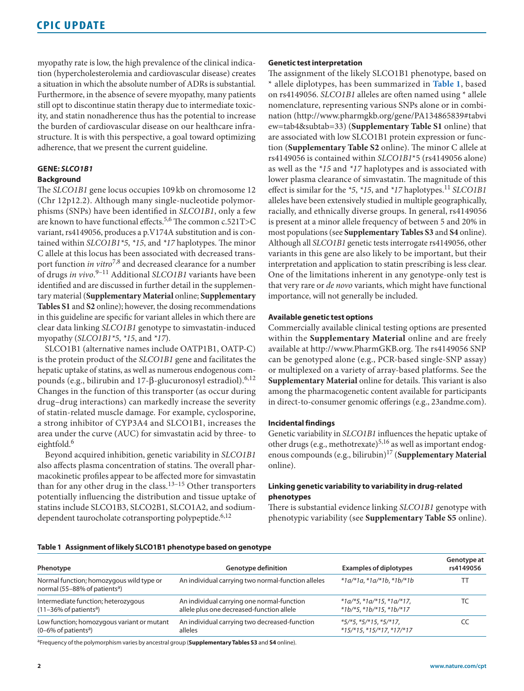myopathy rate is low, the high prevalence of the clinical indication (hypercholesterolemia and cardiovascular disease) creates a situation in which the absolute number of ADRs is substantial. Furthermore, in the absence of severe myopathy, many patients still opt to discontinue statin therapy due to intermediate toxicity, and statin nonadherence thus has the potential to increase the burden of cardiovascular disease on our healthcare infrastructure. It is with this perspective, a goal toward optimizing adherence, that we present the current guideline.

# **GENE:** *SLCO1B1*

# **Background**

The *SLCO1B1* gene locus occupies 109 kb on chromosome 12 (Chr 12p12.2). Although many single-nucleotide polymorphisms (SNPs) have been identified in *SLCO1B1*, only a few are known to have functional effects.5,6 The common c.521T>C variant, rs4149056, produces a p.V174A substitution and is contained within *SLCO1B1\*5*, *\*15*, and *\*17* haplotypes. The minor C allele at this locus has been associated with decreased transport function *in vitro*7,8 and decreased clearance for a number of drugs *in vivo*. 9–11 Additional *SLCO1B1* variants have been identified and are discussed in further detail in the supplementary material (**Supplementary Material** online; **Supplementary Tables S1** and **S2** online); however, the dosing recommendations in this guideline are specific for variant alleles in which there are clear data linking *SLCO1B1* genotype to simvastatin-induced myopathy (*SLCO1B1\*5*, *\*15*, and *\*17*).

SLCO1B1 (alternative names include OATP1B1, OATP-C) is the protein product of the *SLCO1B1* gene and facilitates the hepatic uptake of statins, as well as numerous endogenous compounds (e.g., bilirubin and 17-β-glucuronosyl estradiol).6,12 Changes in the function of this transporter (as occur during drug–drug interactions) can markedly increase the severity of statin-related muscle damage. For example, cyclosporine, a strong inhibitor of CYP3A4 and SLCO1B1, increases the area under the curve (AUC) for simvastatin acid by three- to eightfold.<sup>6</sup>

Beyond acquired inhibition, genetic variability in *SLCO1B1* also affects plasma concentration of statins. The overall pharmacokinetic profiles appear to be affected more for simvastatin than for any other drug in the class.<sup>13-15</sup> Other transporters potentially influencing the distribution and tissue uptake of statins include SLCO1B3, SLCO2B1, SLCO1A2, and sodiumdependent taurocholate cotransporting polypeptide. $6,12$ 

### **Genetic test interpretation**

The assignment of the likely SLCO1B1 phenotype, based on \* allele diplotypes, has been summarized in **[Table 1](#page-1-0)**, based on rs4149056. *SLCO1B1* alleles are often named using \* allele nomenclature, representing various SNPs alone or in combination ([http://www.pharmgkb.org/gene/PA134865839#tabvi](http://www.pharmgkb.org/gene/PA134865839 # tabview=tab4 & subtab=33) [ew=tab4&subtab=33](http://www.pharmgkb.org/gene/PA134865839 # tabview=tab4 & subtab=33)) (**Supplementary Table S1** online) that are associated with low SLCO1B1 protein expression or function (**Supplementary Table S2** online). The minor C allele at rs4149056 is contained within *SLCO1B1*\*5 (rs4149056 alone) as well as the *\*15* and *\*17* haplotypes and is associated with lower plasma clearance of simvastatin. The magnitude of this effect is similar for the *\*5*, *\*15*, and *\*17* haplotypes.<sup>11</sup> *SLCO1B1* alleles have been extensively studied in multiple geographically, racially, and ethnically diverse groups. In general, rs4149056 is present at a minor allele frequency of between 5 and 20% in most populations (see **Supplementary Tables S3** and **S4** online). Although all *SLCO1B1* genetic tests interrogate rs4149056, other variants in this gene are also likely to be important, but their interpretation and application to statin prescribing is less clear. One of the limitations inherent in any genotype-only test is that very rare or *de novo* variants, which might have functional importance, will not generally be included.

# **Available genetic test options**

Commercially available clinical testing options are presented within the **Supplementary Material** online and are freely available at [http://www.PharmGKB.org.](http://www.PharmGKB.org) The rs4149056 SNP can be genotyped alone (e.g., PCR-based single-SNP assay) or multiplexed on a variety of array-based platforms. See the **Supplementary Material** online for details. This variant is also among the pharmacogenetic content available for participants in direct-to-consumer genomic offerings (e.g., 23andme.com).

## **Incidental findings**

Genetic variability in *SLCO1B1* influences the hepatic uptake of other drugs (e.g., methotrexate)<sup>5,16</sup> as well as important endogenous compounds (e.g., bilirubin)17 (**Supplementary Material** online).

# **Linking genetic variability to variability in drug-related phenotypes**

There is substantial evidence linking *SLCO1B1* genotype with phenotypic variability (see **Supplementary Table S5** online).

<span id="page-1-0"></span>

| Table 1 Assignment of likely SLCO1B1 phenotype based on genotype |  |  |
|------------------------------------------------------------------|--|--|
|                                                                  |  |  |

| Phenotype                                                                             | <b>Genotype definition</b>                         | <b>Examples of diplotypes</b>     | Genotype at<br>rs4149056 |
|---------------------------------------------------------------------------------------|----------------------------------------------------|-----------------------------------|--------------------------|
| Normal function; homozygous wild type or<br>normal (55–88% of patients <sup>a</sup> ) | An individual carrying two normal-function alleles | $*1a/*1a$ , $*1a/*1b$ , $*1b/*1b$ |                          |
| Intermediate function; heterozygous                                                   | An individual carrying one normal-function         | $*1a/*5, *1a/*15, *1a/*17,$       |                          |
| $(11-36\% \text{ of patients}^a)$                                                     | allele plus one decreased-function allele          | $*1b/*5$ , $*1b/*15$ , $*1b/*17$  |                          |
| Low function; homozygous variant or mutant                                            | An individual carrying two decreased-function      | $*5/*5$ , $*5/*15$ , $*5/*17$ ,   |                          |
| $(0-6\%$ of patients <sup>a</sup> )                                                   | alleles                                            | $*15$ /*15, *15/*17, *17/*17      |                          |

aFrequency of the polymorphism varies by ancestral group (**Supplementary Tables S3** and **S4** online).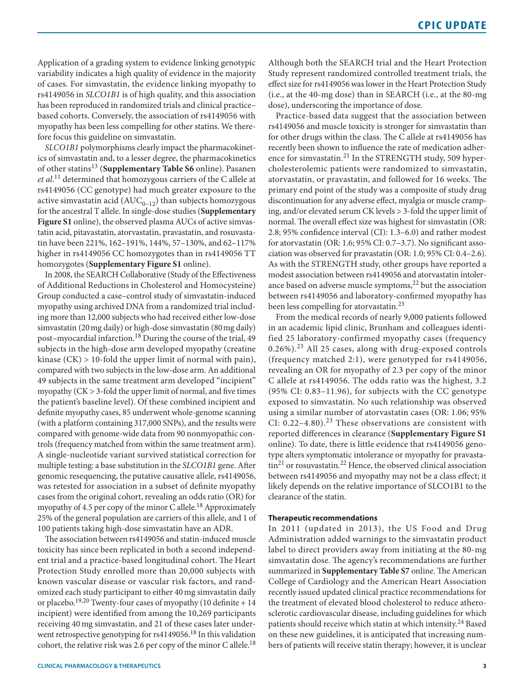Application of a grading system to evidence linking genotypic variability indicates a high quality of evidence in the majority of cases. For simvastatin, the evidence linking myopathy to rs4149056 in *SLCO1B1* is of high quality, and this association has been reproduced in randomized trials and clinical practice– based cohorts. Conversely, the association of rs4149056 with myopathy has been less compelling for other statins. We therefore focus this guideline on simvastatin.

*SLCO1B1* polymorphisms clearly impact the pharmacokinetics of simvastatin and, to a lesser degree, the pharmacokinetics of other statins13 (**Supplementary Table S6** online). Pasanen *et al*. 11 determined that homozygous carriers of the C allele at rs4149056 (CC genotype) had much greater exposure to the active simvastatin acid  $(AUC_{0-12})$  than subjects homozygous for the ancestral T allele. In single-dose studies (**Supplementary Figure S1** online), the observed plasma AUCs of active simvastatin acid, pitavastatin, atorvastatin, pravastatin, and rosuvastatin have been 221%, 162–191%, 144%, 57–130%, and 62–117% higher in rs4149056 CC homozygotes than in rs4149056 TT homozygotes (**Supplementary Figure S1** online).

In 2008, the SEARCH Collaborative (Study of the Effectiveness of Additional Reductions in Cholesterol and Homocysteine) Group conducted a case–control study of simvastatin-induced myopathy using archived DNA from a randomized trial including more than 12,000 subjects who had received either low-dose simvastatin (20mg daily) or high-dose simvastatin (80mg daily) post–myocardial infarction.18 During the course of the trial, 49 subjects in the high-dose arm developed myopathy (creatine kinase (CK) > 10-fold the upper limit of normal with pain), compared with two subjects in the low-dose arm. An additional 49 subjects in the same treatment arm developed "incipient" myopathy  $(CK > 3$ -fold the upper limit of normal, and five times the patient's baseline level). Of these combined incipient and definite myopathy cases, 85 underwent whole-genome scanning (with a platform containing 317,000 SNPs), and the results were compared with genome-wide data from 90 nonmyopathic controls (frequency matched from within the same treatment arm). A single-nucleotide variant survived statistical correction for multiple testing: a base substitution in the *SLCO1B1* gene. After genomic resequencing, the putative causative allele, rs4149056, was retested for association in a subset of definite myopathy cases from the original cohort, revealing an odds ratio (OR) for myopathy of 4.5 per copy of the minor C allele.<sup>18</sup> Approximately 25% of the general population are carriers of this allele, and 1 of 100 patients taking high-dose simvastatin have an ADR.

The association between rs4149056 and statin-induced muscle toxicity has since been replicated in both a second independent trial and a practice-based longitudinal cohort. The Heart Protection Study enrolled more than 20,000 subjects with known vascular disease or vascular risk factors, and randomized each study participant to either 40mg simvastatin daily or placebo.<sup>19,20</sup> Twenty-four cases of myopathy (10 definite  $+14$ incipient) were identified from among the 10,269 participants receiving 40mg simvastatin, and 21 of these cases later underwent retrospective genotyping for rs4149056.<sup>18</sup> In this validation cohort, the relative risk was 2.6 per copy of the minor C allele.<sup>18</sup> Although both the SEARCH trial and the Heart Protection Study represent randomized controlled treatment trials, the effect size for rs4149056 was lower in the Heart Protection Study (i.e., at the 40-mg dose) than in SEARCH (i.e., at the 80-mg dose), underscoring the importance of dose.

Practice-based data suggest that the association between rs4149056 and muscle toxicity is stronger for simvastatin than for other drugs within the class. The C allele at rs4149056 has recently been shown to influence the rate of medication adherence for simvastatin.<sup>21</sup> In the STRENGTH study, 509 hypercholesterolemic patients were randomized to simvastatin, atorvastatin, or pravastatin, and followed for 16 weeks. The primary end point of the study was a composite of study drug discontinuation for any adverse effect, myalgia or muscle cramping, and/or elevated serum CK levels > 3-fold the upper limit of normal. The overall effect size was highest for simvastatin (OR: 2.8; 95% confidence interval (CI): 1.3–6.0) and rather modest for atorvastatin (OR: 1.6; 95% CI: 0.7–3.7). No significant association was observed for pravastatin (OR: 1.0; 95% CI: 0.4–2.6). As with the STRENGTH study, other groups have reported a modest association between rs4149056 and atorvastatin intolerance based on adverse muscle symptoms,<sup>22</sup> but the association between rs4149056 and laboratory-confirmed myopathy has been less compelling for atorvastatin.<sup>23</sup>

From the medical records of nearly 9,000 patients followed in an academic lipid clinic, Brunham and colleagues identified 25 laboratory-confirmed myopathy cases (frequency 0.26%).23 All 25 cases, along with drug-exposed controls (frequency matched 2:1), were genotyped for rs4149056, revealing an OR for myopathy of 2.3 per copy of the minor C allele at rs4149056. The odds ratio was the highest, 3.2 (95% CI: 0.83–11.96), for subjects with the CC genotype exposed to simvastatin. No such relationship was observed using a similar number of atorvastatin cases (OR: 1.06; 95% CI:  $0.22-4.80$ .<sup>23</sup> These observations are consistent with reported differences in clearance (**Supplementary Figure S1** online). To date, there is little evidence that rs4149056 genotype alters symptomatic intolerance or myopathy for pravasta- $\text{tin}^{21}$  or rosuvastatin.<sup>22</sup> Hence, the observed clinical association between rs4149056 and myopathy may not be a class effect; it likely depends on the relative importance of SLCO1B1 to the clearance of the statin.

## **Therapeutic recommendations**

In 2011 (updated in 2013), the US Food and Drug Administration added warnings to the simvastatin product label to direct providers away from initiating at the 80-mg simvastatin dose. The agency's recommendations are further summarized in **Supplementary Table S7** online. The American College of Cardiology and the American Heart Association recently issued updated clinical practice recommendations for the treatment of elevated blood cholesterol to reduce atherosclerotic cardiovascular disease, including guidelines for which patients should receive which statin at which intensity.<sup>24</sup> Based on these new guidelines, it is anticipated that increasing numbers of patients will receive statin therapy; however, it is unclear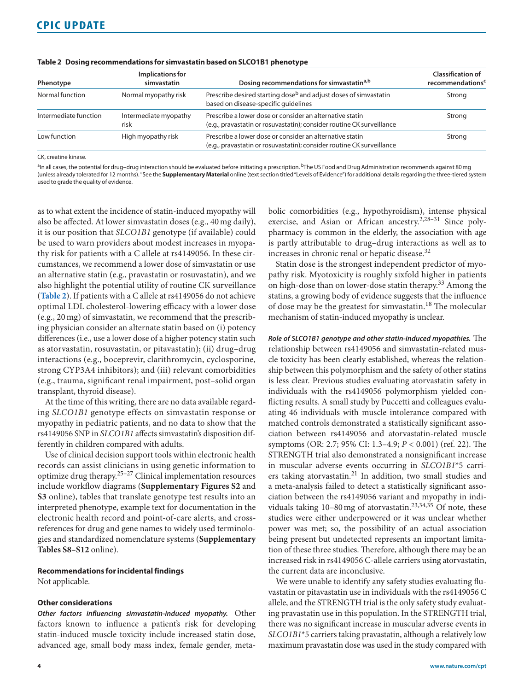| Phenotype             | Implications for<br>simvastatin | Dosing recommendations for simvastatin <sup>a,b</sup>                                                                             | <b>Classification of</b><br>recommendations <sup>c</sup> |
|-----------------------|---------------------------------|-----------------------------------------------------------------------------------------------------------------------------------|----------------------------------------------------------|
| Normal function       | Normal myopathy risk            | Prescribe desired starting dose <sup>b</sup> and adjust doses of simvastatin<br>based on disease-specific quidelines              | Strong                                                   |
| Intermediate function | Intermediate myopathy<br>risk   | Prescribe a lower dose or consider an alternative statin<br>(e.g., pravastatin or rosuvastatin); consider routine CK surveillance | Strong                                                   |
| Low function          | High myopathy risk              | Prescribe a lower dose or consider an alternative statin<br>(e.g., pravastatin or rosuvastatin); consider routine CK surveillance | Strong                                                   |

<span id="page-3-0"></span>

|  | Table 2 Dosing recommendations for simvastatin based on SLCO1B1 phenotype |  |
|--|---------------------------------------------------------------------------|--|
|  |                                                                           |  |

CK, creatine kinase.

<sup>a</sup>In all cases, the potential for drug-drug interaction should be evaluated before initiating a prescription. <sup>b</sup>The US Food and Drug Administration recommends against 80 mg (unless already tolerated for 12 months). 'See the **Supplementary Material** online (text section titled "Levels of Evidence") for additional details regarding the three-tiered system used to grade the quality of evidence.

as to what extent the incidence of statin-induced myopathy will also be affected. At lower simvastatin doses (e.g., 40 mg daily), it is our position that *SLCO1B1* genotype (if available) could be used to warn providers about modest increases in myopathy risk for patients with a C allele at rs4149056. In these circumstances, we recommend a lower dose of simvastatin or use an alternative statin (e.g., pravastatin or rosuvastatin), and we also highlight the potential utility of routine CK surveillance (**[Table 2](#page-3-0)**). If patients with a C allele at rs4149056 do not achieve optimal LDL cholesterol-lowering efficacy with a lower dose (e.g., 20mg) of simvastatin, we recommend that the prescribing physician consider an alternate statin based on (i) potency differences (i.e., use a lower dose of a higher potency statin such as atorvastatin, rosuvastatin, or pitavastatin); (ii) drug–drug interactions (e.g., boceprevir, clarithromycin, cyclosporine, strong CYP3A4 inhibitors); and (iii) relevant comorbidities (e.g., trauma, significant renal impairment, post–solid organ transplant, thyroid disease).

At the time of this writing, there are no data available regarding *SLCO1B1* genotype effects on simvastatin response or myopathy in pediatric patients, and no data to show that the rs4149056 SNP in *SLCO1B1* affects simvastatin's disposition differently in children compared with adults.

Use of clinical decision support tools within electronic health records can assist clinicians in using genetic information to optimize drug therapy.25–27 Clinical implementation resources include workflow diagrams (**Supplementary Figures S2** and **S3** online), tables that translate genotype test results into an interpreted phenotype, example text for documentation in the electronic health record and point-of-care alerts, and crossreferences for drug and gene names to widely used terminologies and standardized nomenclature systems (**Supplementary Tables S8–S12** online).

### **Recommendations for incidental findings**

Not applicable.

#### **Other considerations**

*Other factors influencing simvastatin-induced myopathy.* Other factors known to influence a patient's risk for developing statin-induced muscle toxicity include increased statin dose, advanced age, small body mass index, female gender, metabolic comorbidities (e.g., hypothyroidism), intense physical exercise, and Asian or African ancestry.<sup>2,28-31</sup> Since polypharmacy is common in the elderly, the association with age is partly attributable to drug–drug interactions as well as to increases in chronic renal or hepatic disease.32

Statin dose is the strongest independent predictor of myopathy risk. Myotoxicity is roughly sixfold higher in patients on high-dose than on lower-dose statin therapy.33 Among the statins, a growing body of evidence suggests that the influence of dose may be the greatest for simvastatin.<sup>18</sup> The molecular mechanism of statin-induced myopathy is unclear.

*Role of SLCO1B1 genotype and other statin-induced myopathies.* The relationship between rs4149056 and simvastatin-related muscle toxicity has been clearly established, whereas the relationship between this polymorphism and the safety of other statins is less clear. Previous studies evaluating atorvastatin safety in individuals with the rs4149056 polymorphism yielded conflicting results. A small study by Puccetti and colleagues evaluating 46 individuals with muscle intolerance compared with matched controls demonstrated a statistically significant association between rs4149056 and atorvastatin-related muscle symptoms (OR: 2.7; 95% CI: 1.3–4.9; *P* < 0.001) (ref. 22). The STRENGTH trial also demonstrated a nonsignificant increase in muscular adverse events occurring in *SLCO1B1*\*5 carriers taking atorvastatin.<sup>21</sup> In addition, two small studies and a meta-analysis failed to detect a statistically significant association between the rs4149056 variant and myopathy in individuals taking  $10-80$  mg of atorvastatin.<sup>23,34,35</sup> Of note, these studies were either underpowered or it was unclear whether power was met; so, the possibility of an actual association being present but undetected represents an important limitation of these three studies. Therefore, although there may be an increased risk in rs4149056 C-allele carriers using atorvastatin, the current data are inconclusive.

We were unable to identify any safety studies evaluating fluvastatin or pitavastatin use in individuals with the rs4149056 C allele, and the STRENGTH trial is the only safety study evaluating pravastatin use in this population. In the STRENGTH trial, there was no significant increase in muscular adverse events in *SLCO1B1*\*5 carriers taking pravastatin, although a relatively low maximum pravastatin dose was used in the study compared with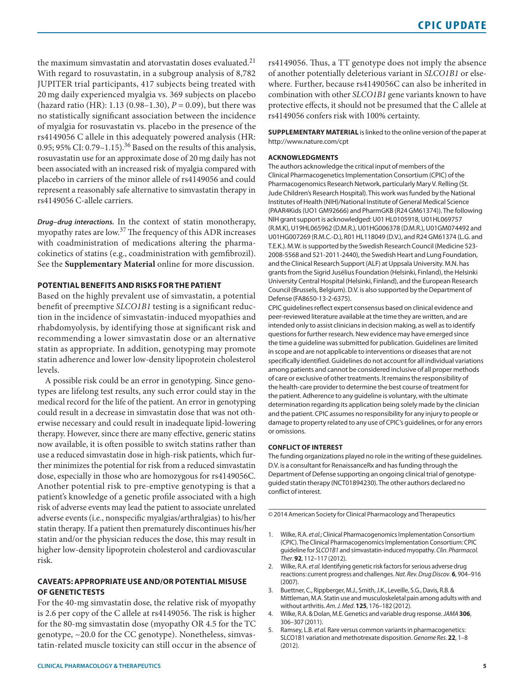the maximum simvastatin and atorvastatin doses evaluated.<sup>21</sup> With regard to rosuvastatin, in a subgroup analysis of 8,782 JUPITER trial participants, 417 subjects being treated with 20 mg daily experienced myalgia vs. 369 subjects on placebo (hazard ratio (HR): 1.13 (0.98–1.30), *P* = 0.09), but there was no statistically significant association between the incidence of myalgia for rosuvastatin vs. placebo in the presence of the rs4149056 C allele in this adequately powered analysis (HR: 0.95; 95% CI: 0.79–1.15).<sup>36</sup> Based on the results of this analysis, rosuvastatin use for an approximate dose of 20mg daily has not been associated with an increased risk of myalgia compared with placebo in carriers of the minor allele of rs4149056 and could represent a reasonably safe alternative to simvastatin therapy in rs4149056 C-allele carriers.

*Drug–drug interactions.* In the context of statin monotherapy, myopathy rates are low.37 The frequency of this ADR increases with coadministration of medications altering the pharmacokinetics of statins (e.g., coadministration with gemfibrozil). See the **Supplementary Material** online for more discussion.

# **POTENTIAL BENEFITS AND RISKS FOR THE PATIENT**

Based on the highly prevalent use of simvastatin, a potential benefit of preemptive *SLCO1B1* testing is a significant reduction in the incidence of simvastatin-induced myopathies and rhabdomyolysis, by identifying those at significant risk and recommending a lower simvastatin dose or an alternative statin as appropriate. In addition, genotyping may promote statin adherence and lower low-density lipoprotein cholesterol levels.

A possible risk could be an error in genotyping. Since genotypes are lifelong test results, any such error could stay in the medical record for the life of the patient. An error in genotyping could result in a decrease in simvastatin dose that was not otherwise necessary and could result in inadequate lipid-lowering therapy. However, since there are many effective, generic statins now available, it is often possible to switch statins rather than use a reduced simvastatin dose in high-risk patients, which further minimizes the potential for risk from a reduced simvastatin dose, especially in those who are homozygous for rs4149056C. Another potential risk to pre-emptive genotyping is that a patient's knowledge of a genetic profile associated with a high risk of adverse events may lead the patient to associate unrelated adverse events (i.e., nonspecific myalgias/arthralgias) to his/her statin therapy. If a patient then prematurely discontinues his/her statin and/or the physician reduces the dose, this may result in higher low-density lipoprotein cholesterol and cardiovascular risk.

# **CAVEATS: APPROPRIATE USE AND/OR POTENTIAL MISUSE OF GENETIC TESTS**

For the 40-mg simvastatin dose, the relative risk of myopathy is 2.6 per copy of the C allele at rs4149056. The risk is higher for the 80-mg simvastatin dose (myopathy OR 4.5 for the TC genotype, ~20.0 for the CC genotype). Nonetheless, simvastatin-related muscle toxicity can still occur in the absence of rs4149056. Thus, a TT genotype does not imply the absence of another potentially deleterious variant in *SLCO1B1* or elsewhere. Further, because rs4149056C can also be inherited in combination with other *SLCO1B1* gene variants known to have protective effects, it should not be presumed that the C allele at rs4149056 confers risk with 100% certainty.

**SUPPLEMENTARY MATERIAL** is linked to the online version of the paper at <http://www.nature.com/cpt>

#### **ACKNOWLEDGMENTS**

The authors acknowledge the critical input of members of the Clinical Pharmacogenetics Implementation Consortium (CPIC) of the Pharmacogenomics Research Network, particularly Mary V. Relling (St. Jude Children's Research Hospital). This work was funded by the National Institutes of Health (NIH)/National Institute of General Medical Science (PAAR4Kids (UO1 GM92666) and PharmGKB (R24 GM61374)). The following NIH grant support is acknowledged: U01 HL0105918, U01HL069757 (R.M.K), U19HL065962 (D.M.R.), U01HG006378 (D.M.R.), U01GM074492 and U01HG007269 (R.M.C.-D.), R01 HL118049 (D.V.), and R24 GM61374 (L.G. and T.E.K.). M.W. is supported by the Swedish Research Council (Medicine 523- 2008-5568 and 521-2011-2440), the Swedish Heart and Lung Foundation, and the Clinical Research Support (ALF) at Uppsala University. M.N. has grants from the Sigrid Jusélius Foundation (Helsinki, Finland), the Helsinki University Central Hospital (Helsinki, Finland), and the European Research Council (Brussels, Belgium). D.V. is also supported by the Department of Defense (FA8650-13-2-6375).

CPIC guidelines reflect expert consensus based on clinical evidence and peer-reviewed literature available at the time they are written, and are intended only to assist clinicians in decision making, as well as to identify questions for further research. New evidence may have emerged since the time a guideline was submitted for publication. Guidelines are limited in scope and are not applicable to interventions or diseases that are not specifically identified. Guidelines do not account for all individual variations among patients and cannot be considered inclusive of all proper methods of care or exclusive of other treatments. It remains the responsibility of the health-care provider to determine the best course of treatment for the patient. Adherence to any guideline is voluntary, with the ultimate determination regarding its application being solely made by the clinician and the patient. CPIC assumes no responsibility for any injury to people or damage to property related to any use of CPIC's guidelines, or for any errors or omissions.

#### **CONFLICT OF INTEREST**

The funding organizations played no role in the writing of these guidelines. D.V. is a consultant for RenaissanceRx and has funding through the Department of Defense supporting an ongoing clinical trial of genotypeguided statin therapy (NCT01894230). The other authors declared no conflict of interest.

© 2014 American Society for Clinical Pharmacology and Therapeutics

- 1. Wilke, R.A. *et al.*; Clinical Pharmacogenomics Implementation Consortium (CPIC). The Clinical Pharmacogenomics Implementation Consortium: CPIC guideline for *SLCO1B1* and simvastatin-induced myopathy. *Clin. Pharmacol. Ther*. **92**, 112–117 (2012).
- 2. Wilke, R.A. *et al.* Identifying genetic risk factors for serious adverse drug reactions: current progress and challenges. *Nat. Rev. Drug Discov*. **6**, 904–916 (2007).
- 3. Buettner, C., Rippberger, M.J., Smith, J.K., Leveille, S.G., Davis, R.B. & Mittleman, M.A. Statin use and musculoskeletal pain among adults with and without arthritis. *Am. J. Med*. **125**, 176–182 (2012).
- 4. Wilke, R.A. & Dolan, M.E. Genetics and variable drug response. *JAMA* **306**, 306–307 (2011).
- 5. Ramsey, L.B. *et al.* Rare versus common variants in pharmacogenetics: SLCO1B1 variation and methotrexate disposition. *Genome Res*. **22**, 1–8 (2012).